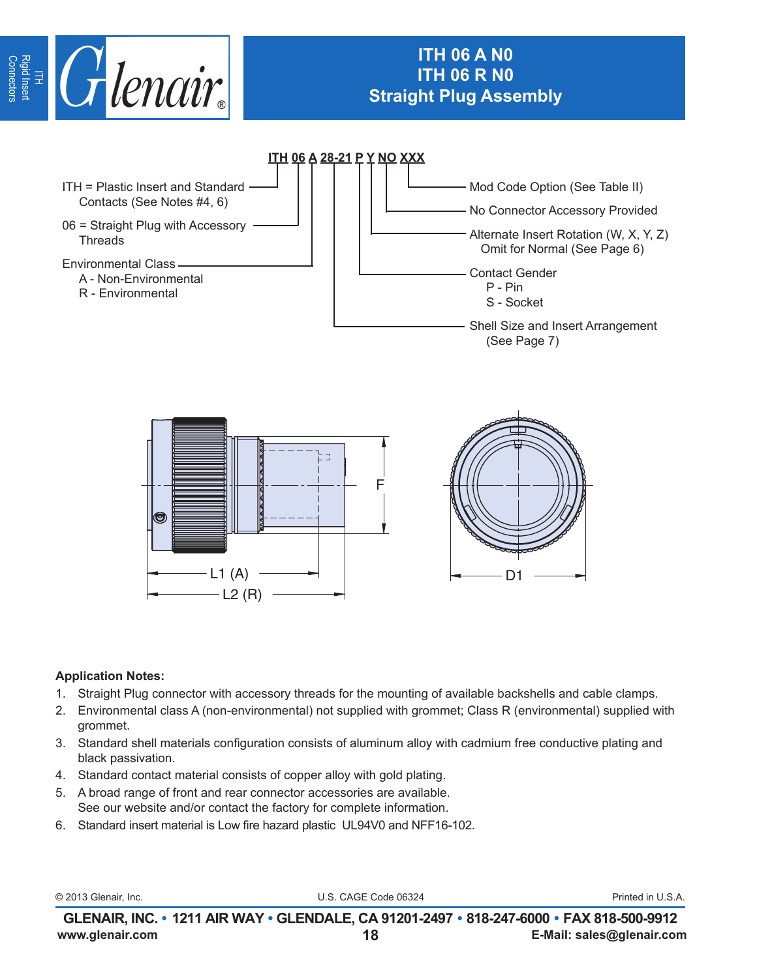

# **ITH 06 A N0 ITH 06 R N0 Straight Plug Assembly**



## **Application Notes:**

- 1. Straight Plug connector with accessory threads for the mounting of available backshells and cable clamps.
- $\epsilon$  (ass A (non-environmental) not supplied with grommet; Class R (environmet) **L1** 2. Environmental class A (non-environmental) not supplied with grommet; Class R (environmental) supplied with grommet.
- **±0.3 ±0.3** 3. Standard shell materials configuration consists of aluminum alloy with cadmium free conductive plating and<br>hlask pessivation **20** 39.8 1.1250 - 18UNEF 50.0 58.0 black passivation.
- 4. Standard contact material consists of copper alloy with gold plating.
- 5. A broad range of front and rear connector accessories are available. See our website and/or contact the factory for complete information.
- 6. Standard insert material is Low fire hazard plastic UL94V0 and NFF16-102.

© 2013 Glenair, Inc. U.S. CAGE Code 06324 Printed in U.S.A.